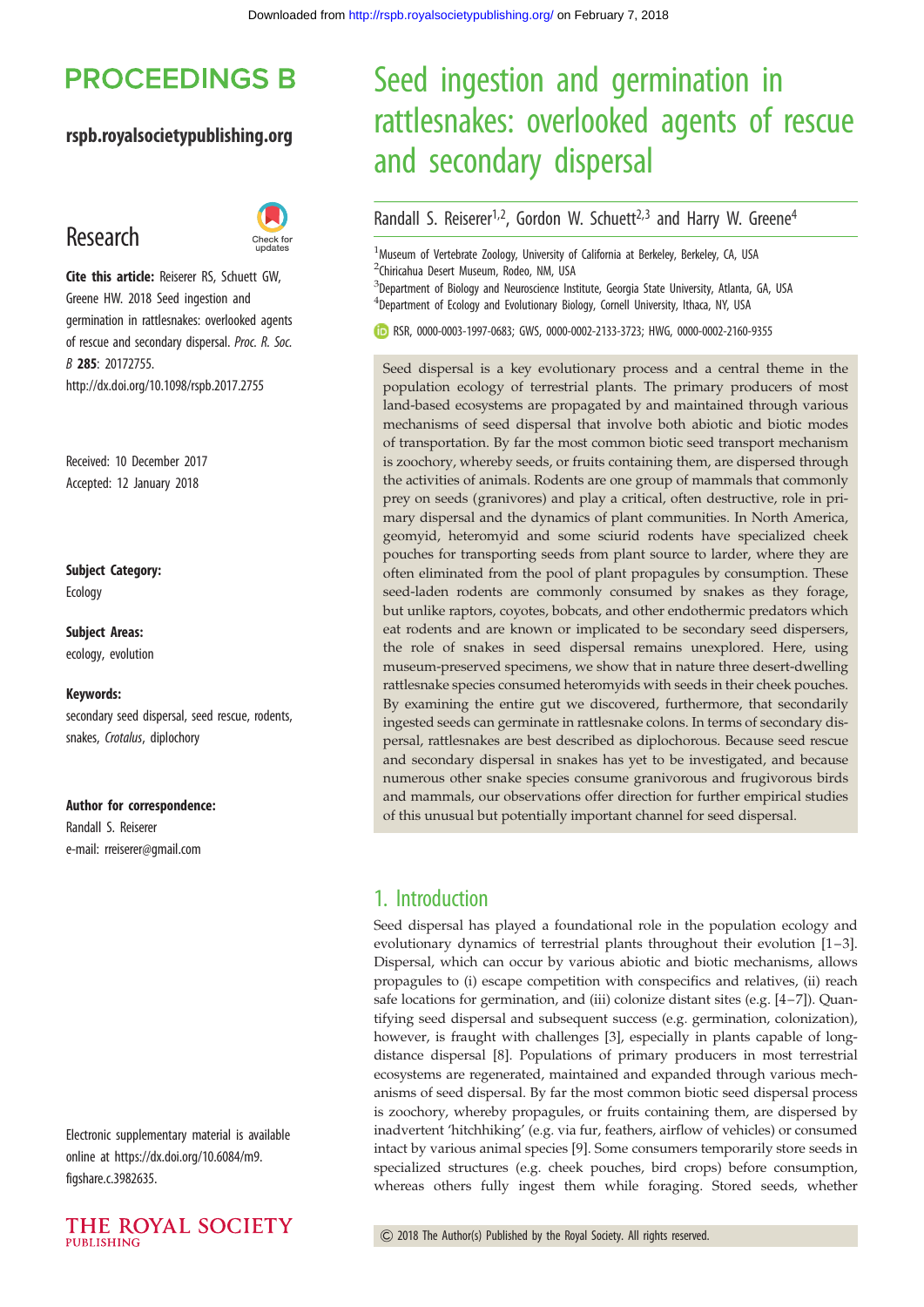## **PROCEEDINGS B**

#### rspb.royalsocietypublishing.org

## Research



Cite this article: Reiserer RS, Schuett GW, Greene HW. 2018 Seed ingestion and germination in rattlesnakes: overlooked agents of rescue and secondary dispersal. Proc. R. Soc. B 285: 20172755. http://dx.doi.org/10.1098/rspb.2017.2755

Received: 10 December 2017 Accepted: 12 January 2018

#### Subject Category: Ecology

Subject Areas: ecology, evolution

#### Keywords:

secondary seed dispersal, seed rescue, rodents, snakes, Crotalus, diplochory

#### Author for correspondence:

Randall S. Reiserer e-mail: [rreiserer@gmail.com](mailto:rreiserer@gmail.com)

Electronic supplementary material is available online at [https://dx.doi.org/10.6084/m9.](https://dx.doi.org/10.6084/m9.figshare.c.3982635) [figshare.c.3982635](https://dx.doi.org/10.6084/m9.figshare.c.3982635).



# Seed ingestion and germination in rattlesnakes: overlooked agents of rescue and secondary dispersal

## Randall S. Reiserer<sup>1,2</sup>, Gordon W. Schuett<sup>2,3</sup> and Harry W. Greene<sup>4</sup>

<sup>1</sup>Museum of Vertebrate Zoology, University of California at Berkeley, Berkeley, CA, USA 2 Chiricahua Desert Museum, Rodeo, NM, USA

<sup>3</sup>Department of Biology and Neuroscience Institute, Georgia State University, Atlanta, GA, USA <sup>4</sup>Department of Ecology and Evolutionary Biology, Cornell University, Ithaca, NY, USA

RSR, [0000-0003-1997-0683](http://orcid.org/0000-0003-1997-0683); GWS, [0000-0002-2133-3723](http://orcid.org/0000-0002-2133-3723); HWG, [0000-0002-2160-9355](http://orcid.org/0000-0002-2160-9355)

Seed dispersal is a key evolutionary process and a central theme in the population ecology of terrestrial plants. The primary producers of most land-based ecosystems are propagated by and maintained through various mechanisms of seed dispersal that involve both abiotic and biotic modes of transportation. By far the most common biotic seed transport mechanism is zoochory, whereby seeds, or fruits containing them, are dispersed through the activities of animals. Rodents are one group of mammals that commonly prey on seeds (granivores) and play a critical, often destructive, role in primary dispersal and the dynamics of plant communities. In North America, geomyid, heteromyid and some sciurid rodents have specialized cheek pouches for transporting seeds from plant source to larder, where they are often eliminated from the pool of plant propagules by consumption. These seed-laden rodents are commonly consumed by snakes as they forage, but unlike raptors, coyotes, bobcats, and other endothermic predators which eat rodents and are known or implicated to be secondary seed dispersers, the role of snakes in seed dispersal remains unexplored. Here, using museum-preserved specimens, we show that in nature three desert-dwelling rattlesnake species consumed heteromyids with seeds in their cheek pouches. By examining the entire gut we discovered, furthermore, that secondarily ingested seeds can germinate in rattlesnake colons. In terms of secondary dispersal, rattlesnakes are best described as diplochorous. Because seed rescue and secondary dispersal in snakes has yet to be investigated, and because numerous other snake species consume granivorous and frugivorous birds and mammals, our observations offer direction for further empirical studies of this unusual but potentially important channel for seed dispersal.

## 1. Introduction

Seed dispersal has played a foundational role in the population ecology and evolutionary dynamics of terrestrial plants throughout their evolution  $[1-3]$  $[1-3]$ . Dispersal, which can occur by various abiotic and biotic mechanisms, allows propagules to (i) escape competition with conspecifics and relatives, (ii) reach safe locations for germination, and (iii) colonize distant sites (e.g. [\[4](#page-3-0)–[7](#page-3-0)]). Quantifying seed dispersal and subsequent success (e.g. germination, colonization), however, is fraught with challenges [[3](#page-3-0)], especially in plants capable of longdistance dispersal [[8](#page-3-0)]. Populations of primary producers in most terrestrial ecosystems are regenerated, maintained and expanded through various mechanisms of seed dispersal. By far the most common biotic seed dispersal process is zoochory, whereby propagules, or fruits containing them, are dispersed by inadvertent 'hitchhiking' (e.g. via fur, feathers, airflow of vehicles) or consumed intact by various animal species [\[9\]](#page-3-0). Some consumers temporarily store seeds in specialized structures (e.g. cheek pouches, bird crops) before consumption, whereas others fully ingest them while foraging. Stored seeds, whether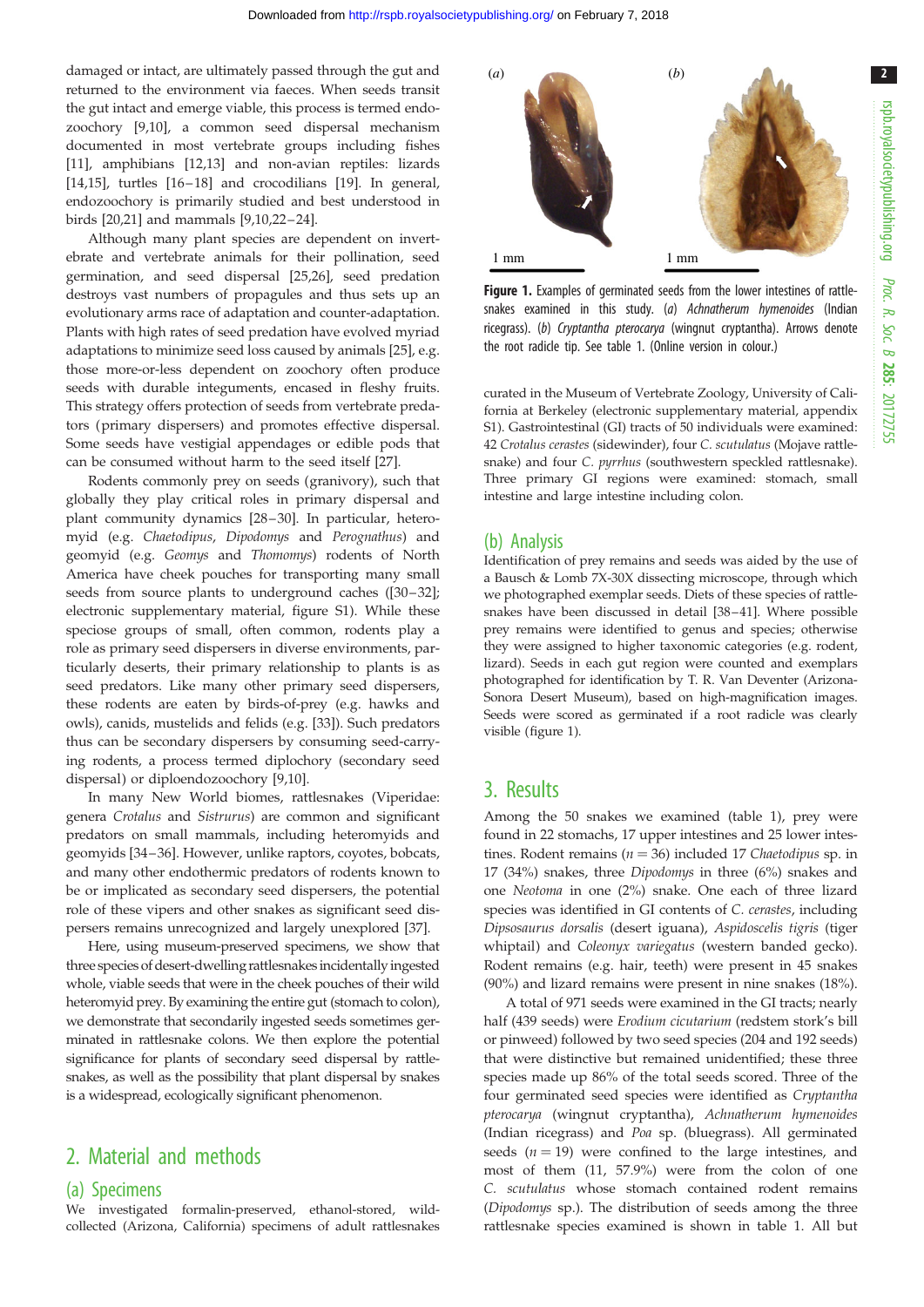<span id="page-1-0"></span>damaged or intact, are ultimately passed through the gut and returned to the environment via faeces. When seeds transit the gut intact and emerge viable, this process is termed endozoochory [\[9,10](#page-3-0)], a common seed dispersal mechanism documented in most vertebrate groups including fishes [\[11](#page-3-0)], amphibians [[12,13](#page-3-0)] and non-avian reptiles: lizards [\[14](#page-3-0),[15\]](#page-3-0), turtles  $[16-18]$  $[16-18]$  $[16-18]$  $[16-18]$  $[16-18]$  and crocodilians [\[19](#page-4-0)]. In general, endozoochory is primarily studied and best understood in birds [[20,21\]](#page-4-0) and mammals [[9,10](#page-3-0),[22](#page-4-0) –[24\]](#page-4-0).

Although many plant species are dependent on invertebrate and vertebrate animals for their pollination, seed germination, and seed dispersal [[25,26\]](#page-4-0), seed predation destroys vast numbers of propagules and thus sets up an evolutionary arms race of adaptation and counter-adaptation. Plants with high rates of seed predation have evolved myriad adaptations to minimize seed loss caused by animals [[25\]](#page-4-0), e.g. those more-or-less dependent on zoochory often produce seeds with durable integuments, encased in fleshy fruits. This strategy offers protection of seeds from vertebrate predators (primary dispersers) and promotes effective dispersal. Some seeds have vestigial appendages or edible pods that can be consumed without harm to the seed itself [\[27](#page-4-0)].

Rodents commonly prey on seeds (granivory), such that globally they play critical roles in primary dispersal and plant community dynamics [[28](#page-4-0)–[30\]](#page-4-0). In particular, heteromyid (e.g. Chaetodipus, Dipodomys and Perognathus) and geomyid (e.g. Geomys and Thomomys) rodents of North America have cheek pouches for transporting many small seeds from source plants to underground caches ([\[30](#page-4-0)–[32](#page-4-0)]; electronic supplementary material, figure S1). While these speciose groups of small, often common, rodents play a role as primary seed dispersers in diverse environments, particularly deserts, their primary relationship to plants is as seed predators. Like many other primary seed dispersers, these rodents are eaten by birds-of-prey (e.g. hawks and owls), canids, mustelids and felids (e.g. [\[33](#page-4-0)]). Such predators thus can be secondary dispersers by consuming seed-carrying rodents, a process termed diplochory (secondary seed dispersal) or diploendozoochory [[9,10](#page-3-0)].

In many New World biomes, rattlesnakes (Viperidae: genera Crotalus and Sistrurus) are common and significant predators on small mammals, including heteromyids and geomyids [\[34](#page-4-0)–[36](#page-4-0)]. However, unlike raptors, coyotes, bobcats, and many other endothermic predators of rodents known to be or implicated as secondary seed dispersers, the potential role of these vipers and other snakes as significant seed dispersers remains unrecognized and largely unexplored [[37](#page-4-0)].

Here, using museum-preserved specimens, we show that three species of desert-dwelling rattlesnakes incidentally ingested whole, viable seeds that were in the cheek pouches of their wild heteromyid prey. By examining the entire gut (stomach to colon), we demonstrate that secondarily ingested seeds sometimes germinated in rattlesnake colons. We then explore the potential significance for plants of secondary seed dispersal by rattlesnakes, as well as the possibility that plant dispersal by snakes is a widespread, ecologically significant phenomenon.

## 2. Material and methods

#### (a) Specimens

We investigated formalin-preserved, ethanol-stored, wildcollected (Arizona, California) specimens of adult rattlesnakes



Figure 1. Examples of germinated seeds from the lower intestines of rattlesnakes examined in this study. (a) Achnatherum hymenoides (Indian ricegrass). (b) Cryptantha pterocarya (wingnut cryptantha). Arrows denote the root radicle tip. See [table 1.](#page-2-0) (Online version in colour.)

curated in the Museum of Vertebrate Zoology, University of California at Berkeley (electronic supplementary material, appendix S1). Gastrointestinal (GI) tracts of 50 individuals were examined: 42 Crotalus cerastes (sidewinder), four C. scutulatus (Mojave rattlesnake) and four C. pyrrhus (southwestern speckled rattlesnake). Three primary GI regions were examined: stomach, small intestine and large intestine including colon.

#### (b) Analysis

Identification of prey remains and seeds was aided by the use of a Bausch & Lomb 7X-30X dissecting microscope, through which we photographed exemplar seeds. Diets of these species of rattlesnakes have been discussed in detail [\[38](#page-4-0) –[41](#page-4-0)]. Where possible prey remains were identified to genus and species; otherwise they were assigned to higher taxonomic categories (e.g. rodent, lizard). Seeds in each gut region were counted and exemplars photographed for identification by T. R. Van Deventer (Arizona-Sonora Desert Museum), based on high-magnification images. Seeds were scored as germinated if a root radicle was clearly visible (figure 1).

#### 3. Results

Among the 50 snakes we examined [\(table 1\)](#page-2-0), prey were found in 22 stomachs, 17 upper intestines and 25 lower intestines. Rodent remains ( $n = 36$ ) included 17 Chaetodipus sp. in 17 (34%) snakes, three Dipodomys in three (6%) snakes and one Neotoma in one (2%) snake. One each of three lizard species was identified in GI contents of C. cerastes, including Dipsosaurus dorsalis (desert iguana), Aspidoscelis tigris (tiger whiptail) and Coleonyx variegatus (western banded gecko). Rodent remains (e.g. hair, teeth) were present in 45 snakes (90%) and lizard remains were present in nine snakes (18%).

A total of 971 seeds were examined in the GI tracts; nearly half (439 seeds) were Erodium cicutarium (redstem stork's bill or pinweed) followed by two seed species (204 and 192 seeds) that were distinctive but remained unidentified; these three species made up 86% of the total seeds scored. Three of the four germinated seed species were identified as Cryptantha pterocarya (wingnut cryptantha), Achnatherum hymenoides (Indian ricegrass) and Poa sp. (bluegrass). All germinated seeds  $(n = 19)$  were confined to the large intestines, and most of them (11, 57.9%) were from the colon of one C. scutulatus whose stomach contained rodent remains (Dipodomys sp.). The distribution of seeds among the three rattlesnake species examined is shown in [table 1](#page-2-0). All but 2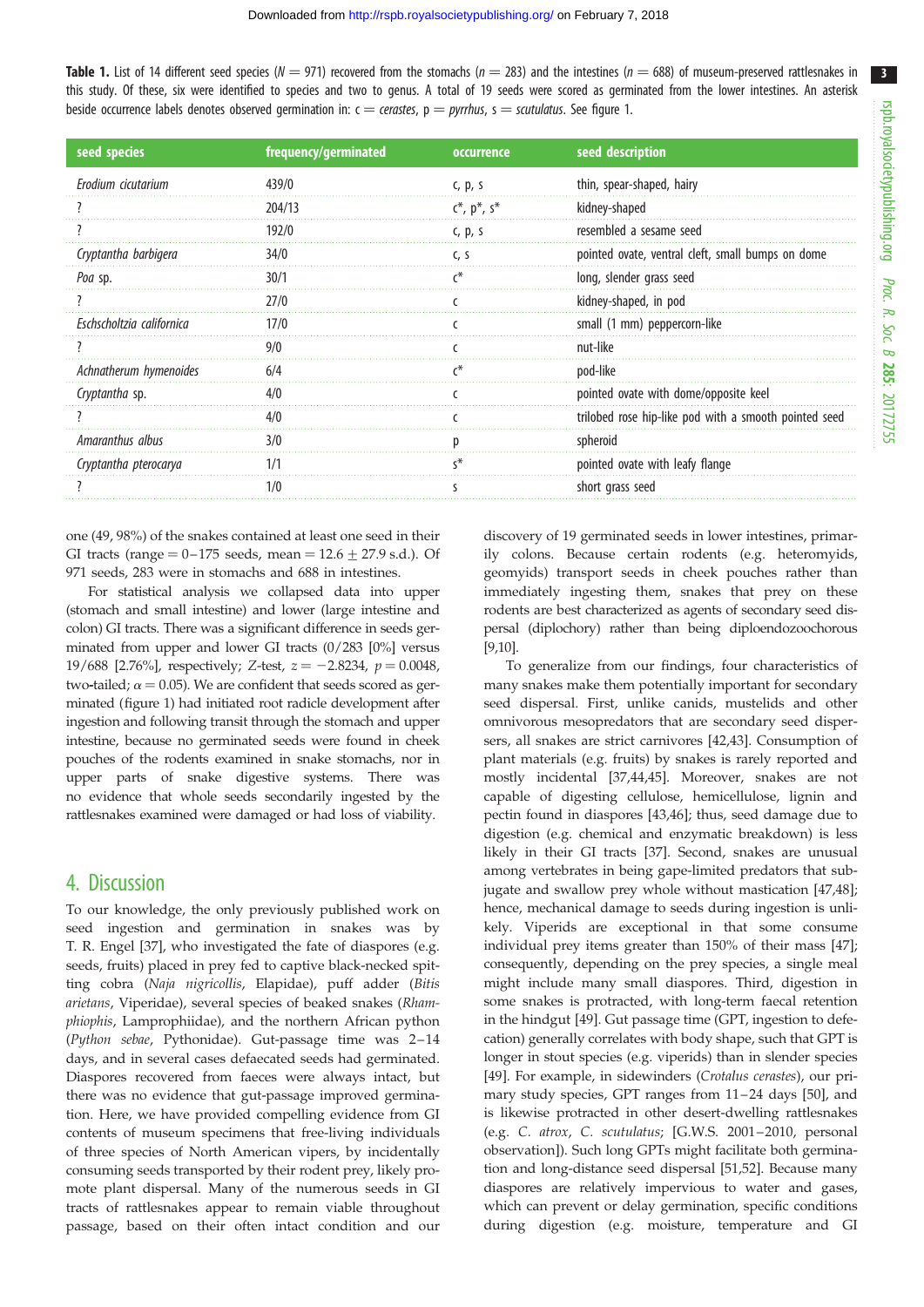3

<span id="page-2-0"></span>**Table 1.** List of 14 different seed species (N = 971) recovered from the stomachs (n = 283) and the intestines (n = 688) of museum-preserved rattlesnakes in this study. Of these, six were identified to species and two to genus. A total of 19 seeds were scored as germinated from the lower intestines. An asterisk beside occurrence labels denotes observed germination in:  $c =$  cerastes,  $p =$  pyrrhus,  $s =$  scutulatus. See [figure 1.](#page-1-0)

| seed species              | frequency/germinated | occurrence            | seed description                                      |
|---------------------------|----------------------|-----------------------|-------------------------------------------------------|
| Erodium cicutarium        | 439/0                | c, p, s               | thin, spear-shaped, hairy                             |
|                           | 204/13               | $c^*$ , $p^*$ , $s^*$ | kidney-shaped                                         |
|                           | 192/0                | c, p, s               | resembled a sesame seed                               |
| Cryptantha barbigera      | 34/0                 | C, S                  | pointed ovate, ventral cleft, small bumps on dome     |
| Poa sp.                   | 30/1                 |                       | long, slender grass seed                              |
|                           | 27/0                 |                       | kidney-shaped, in pod                                 |
| Eschscholtzia californica | 17/0                 |                       | small (1 mm) peppercorn-like                          |
|                           | 9/0                  |                       | nut-like                                              |
| Achnatherum hymenoides    | 6/4                  | $\epsilon^*$          | pod-like                                              |
| Cryptantha sp.            | 4/0                  |                       | pointed ovate with dome/opposite keel                 |
|                           | 4/0                  |                       | trilobed rose hip-like pod with a smooth pointed seed |
| Amaranthus albus          | 3/0                  |                       | spheroid                                              |
| Cryptantha pterocarya     | 1/1                  |                       | pointed ovate with leafy flange                       |
|                           | 1/0                  |                       | short grass seed                                      |

one (49, 98%) of the snakes contained at least one seed in their GI tracts (range  $= 0-175$  seeds, mean  $= 12.6 + 27.9$  s.d.). Of 971 seeds, 283 were in stomachs and 688 in intestines.

For statistical analysis we collapsed data into upper (stomach and small intestine) and lower (large intestine and colon) GI tracts. There was a significant difference in seeds germinated from upper and lower GI tracts (0/283 [0%] versus 19/688 [2.76%], respectively; Z-test,  $z = -2.8234$ ,  $p = 0.0048$ , two-tailed;  $\alpha = 0.05$ ). We are confident that seeds scored as germinated ([figure 1\)](#page-1-0) had initiated root radicle development after ingestion and following transit through the stomach and upper intestine, because no germinated seeds were found in cheek pouches of the rodents examined in snake stomachs, nor in upper parts of snake digestive systems. There was no evidence that whole seeds secondarily ingested by the rattlesnakes examined were damaged or had loss of viability.

### 4. Discussion

To our knowledge, the only previously published work on seed ingestion and germination in snakes was by T. R. Engel [[37\]](#page-4-0), who investigated the fate of diaspores (e.g. seeds, fruits) placed in prey fed to captive black-necked spitting cobra (Naja nigricollis, Elapidae), puff adder (Bitis arietans, Viperidae), several species of beaked snakes (Rhamphiophis, Lamprophiidae), and the northern African python (Python sebae, Pythonidae). Gut-passage time was 2–14 days, and in several cases defaecated seeds had germinated. Diaspores recovered from faeces were always intact, but there was no evidence that gut-passage improved germination. Here, we have provided compelling evidence from GI contents of museum specimens that free-living individuals of three species of North American vipers, by incidentally consuming seeds transported by their rodent prey, likely promote plant dispersal. Many of the numerous seeds in GI tracts of rattlesnakes appear to remain viable throughout passage, based on their often intact condition and our

discovery of 19 germinated seeds in lower intestines, primarily colons. Because certain rodents (e.g. heteromyids, geomyids) transport seeds in cheek pouches rather than immediately ingesting them, snakes that prey on these rodents are best characterized as agents of secondary seed dispersal (diplochory) rather than being diploendozoochorous [[9,10\]](#page-3-0).

To generalize from our findings, four characteristics of many snakes make them potentially important for secondary seed dispersal. First, unlike canids, mustelids and other omnivorous mesopredators that are secondary seed dispersers, all snakes are strict carnivores [\[42,43](#page-4-0)]. Consumption of plant materials (e.g. fruits) by snakes is rarely reported and mostly incidental [\[37,44](#page-4-0),[45\]](#page-4-0). Moreover, snakes are not capable of digesting cellulose, hemicellulose, lignin and pectin found in diaspores [\[43](#page-4-0),[46\]](#page-4-0); thus, seed damage due to digestion (e.g. chemical and enzymatic breakdown) is less likely in their GI tracts [\[37](#page-4-0)]. Second, snakes are unusual among vertebrates in being gape-limited predators that subjugate and swallow prey whole without mastication [\[47](#page-4-0),[48\]](#page-4-0); hence, mechanical damage to seeds during ingestion is unlikely. Viperids are exceptional in that some consume individual prey items greater than 150% of their mass [[47\]](#page-4-0); consequently, depending on the prey species, a single meal might include many small diaspores. Third, digestion in some snakes is protracted, with long-term faecal retention in the hindgut [\[49](#page-4-0)]. Gut passage time (GPT, ingestion to defecation) generally correlates with body shape, such that GPT is longer in stout species (e.g. viperids) than in slender species [[49\]](#page-4-0). For example, in sidewinders (Crotalus cerastes), our primary study species, GPT ranges from 11–24 days [\[50](#page-4-0)], and is likewise protracted in other desert-dwelling rattlesnakes (e.g. C. atrox, C. scutulatus; [G.W.S. 2001–2010, personal observation]). Such long GPTs might facilitate both germination and long-distance seed dispersal [\[51,52](#page-4-0)]. Because many diaspores are relatively impervious to water and gases, which can prevent or delay germination, specific conditions during digestion (e.g. moisture, temperature and GI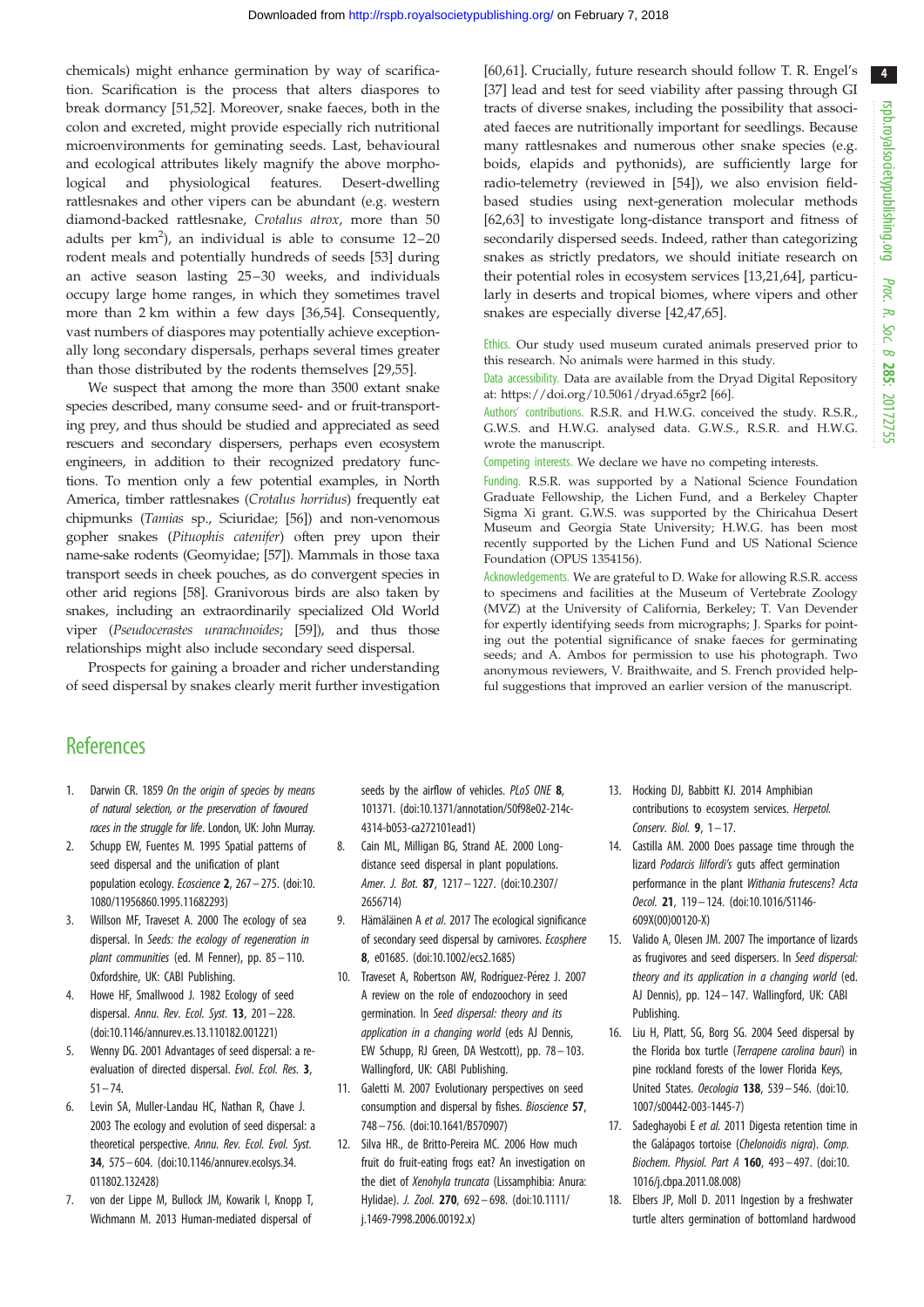<span id="page-3-0"></span>chemicals) might enhance germination by way of scarification. Scarification is the process that alters diaspores to break dormancy [[51,52\]](#page-4-0). Moreover, snake faeces, both in the colon and excreted, might provide especially rich nutritional microenvironments for geminating seeds. Last, behavioural and ecological attributes likely magnify the above morphological and physiological features. Desert-dwelling rattlesnakes and other vipers can be abundant (e.g. western diamond-backed rattlesnake, Crotalus atrox, more than 50 adults per  $km^2$ ), an individual is able to consume  $12-20$ rodent meals and potentially hundreds of seeds [\[53](#page-4-0)] during an active season lasting 25 –30 weeks, and individuals occupy large home ranges, in which they sometimes travel more than 2 km within a few days [\[36](#page-4-0),[54\]](#page-4-0). Consequently, vast numbers of diaspores may potentially achieve exceptionally long secondary dispersals, perhaps several times greater than those distributed by the rodents themselves [\[29](#page-4-0),[55\]](#page-4-0).

We suspect that among the more than 3500 extant snake species described, many consume seed- and or fruit-transporting prey, and thus should be studied and appreciated as seed rescuers and secondary dispersers, perhaps even ecosystem engineers, in addition to their recognized predatory functions. To mention only a few potential examples, in North America, timber rattlesnakes (Crotalus horridus) frequently eat chipmunks (Tamias sp., Sciuridae; [[56\]](#page-4-0)) and non-venomous gopher snakes (Pituophis catenifer) often prey upon their name-sake rodents (Geomyidae; [[57](#page-4-0)]). Mammals in those taxa transport seeds in cheek pouches, as do convergent species in other arid regions [[58](#page-4-0)]. Granivorous birds are also taken by snakes, including an extraordinarily specialized Old World viper (Pseudocerastes urarachnoides; [[59](#page-4-0)]), and thus those relationships might also include secondary seed dispersal.

Prospects for gaining a broader and richer understanding of seed dispersal by snakes clearly merit further investigation [[60,61\]](#page-4-0). Crucially, future research should follow T. R. Engel's [[37\]](#page-4-0) lead and test for seed viability after passing through GI tracts of diverse snakes, including the possibility that associated faeces are nutritionally important for seedlings. Because many rattlesnakes and numerous other snake species (e.g. boids, elapids and pythonids), are sufficiently large for radio-telemetry (reviewed in [\[54](#page-4-0)]), we also envision fieldbased studies using next-generation molecular methods [[62,63\]](#page-4-0) to investigate long-distance transport and fitness of secondarily dispersed seeds. Indeed, rather than categorizing snakes as strictly predators, we should initiate research on their potential roles in ecosystem services [13,[21,64\]](#page-4-0), particularly in deserts and tropical biomes, where vipers and other snakes are especially diverse [[42,47,65](#page-4-0)].

Ethics. Our study used museum curated animals preserved prior to this research. No animals were harmed in this study.

Data accessibility. Data are available from the Dryad Digital Repository at:<https://doi.org/10.5061/dryad.65gr2> [[66\]](#page-4-0).

Authors' contributions. R.S.R. and H.W.G. conceived the study. R.S.R., G.W.S. and H.W.G. analysed data. G.W.S., R.S.R. and H.W.G. wrote the manuscript.

Competing interests. We declare we have no competing interests.

Funding. R.S.R. was supported by a National Science Foundation Graduate Fellowship, the Lichen Fund, and a Berkeley Chapter Sigma Xi grant. G.W.S. was supported by the Chiricahua Desert Museum and Georgia State University; H.W.G. has been most recently supported by the Lichen Fund and US National Science Foundation (OPUS 1354156).

Acknowledgements. We are grateful to D. Wake for allowing R.S.R. access to specimens and facilities at the Museum of Vertebrate Zoology (MVZ) at the University of California, Berkeley; T. Van Devender for expertly identifying seeds from micrographs; J. Sparks for pointing out the potential significance of snake faeces for germinating seeds; and A. Ambos for permission to use his photograph. Two anonymous reviewers, V. Braithwaite, and S. French provided helpful suggestions that improved an earlier version of the manuscript.

#### **References**

- 1. Darwin CR. 1859 On the origin of species by means of natural selection, or the preservation of favoured races in the struggle for life. London, UK: John Murray.
- 2. Schupp EW, Fuentes M. 1995 Spatial patterns of seed dispersal and the unification of plant population ecology. Ecoscience 2, 267– 275. ([doi:10.](http://dx.doi.org/10.1080/11956860.1995.11682293) [1080/11956860.1995.11682293\)](http://dx.doi.org/10.1080/11956860.1995.11682293)
- 3. Willson MF, Traveset A. 2000 The ecology of sea dispersal. In Seeds: the ecology of regeneration in plant communities (ed. M Fenner), pp. 85 – 110. Oxfordshire, UK: CABI Publishing.
- 4. Howe HF, Smallwood J. 1982 Ecology of seed dispersal. Annu. Rev. Ecol. Syst. **13**, 201-228. [\(doi:10.1146/annurev.es.13.110182.001221\)](http://dx.doi.org/10.1146/annurev.es.13.110182.001221)
- 5. Wenny DG. 2001 Advantages of seed dispersal: a reevaluation of directed dispersal. Evol. Ecol. Res. 3,  $51 - 74.$
- 6. Levin SA, Muller-Landau HC, Nathan R, Chave J. 2003 The ecology and evolution of seed dispersal: a theoretical perspective. Annu. Rev. Ecol. Evol. Syst. 34, 575– 604. ([doi:10.1146/annurev.ecolsys.34.](http://dx.doi.org/10.1146/annurev.ecolsys.34.011802.132428) [011802.132428](http://dx.doi.org/10.1146/annurev.ecolsys.34.011802.132428))
- 7. von der Lippe M, Bullock JM, Kowarik I, Knopp T, Wichmann M. 2013 Human-mediated dispersal of

seeds by the airflow of vehicles. PLoS ONE 8, 101371. [\(doi:10.1371/annotation/50f98e02-214c-](http://dx.doi.org/10.1371/annotation/50f98e02-214c-4314-b053-ca272101ead1)[4314-b053-ca272101ead1](http://dx.doi.org/10.1371/annotation/50f98e02-214c-4314-b053-ca272101ead1))

- 8. Cain ML, Milligan BG, Strand AE. 2000 Longdistance seed dispersal in plant populations. Amer. J. Bot. 87, 1217 – 1227. ([doi:10.2307/](http://dx.doi.org/10.2307/2656714) [2656714\)](http://dx.doi.org/10.2307/2656714)
- 9. Hämäläinen A et al. 2017 The ecological significance of secondary seed dispersal by carnivores. Ecosphere 8, e01685. [\(doi:10.1002/ecs2.1685\)](http://dx.doi.org/10.1002/ecs2.1685)
- 10. Traveset A, Robertson AW, Rodríguez-Pérez J. 2007 A review on the role of endozoochory in seed germination. In Seed dispersal: theory and its application in a changing world (eds AJ Dennis, EW Schupp, RJ Green, DA Westcott), pp. 78 – 103. Wallingford, UK: CABI Publishing.
- 11. Galetti M. 2007 Evolutionary perspectives on seed consumption and dispersal by fishes. Bioscience 57, 748 – 756. [\(doi:10.1641/B570907\)](http://dx.doi.org/10.1641/B570907)
- 12. Silva HR., de Britto-Pereira MC. 2006 How much fruit do fruit-eating frogs eat? An investigation on the diet of Xenohyla truncata (Lissamphibia: Anura: Hylidae). J. Zool. 270, 692– 698. ([doi:10.1111/](http://dx.doi.org/10.1111/j.1469-7998.2006.00192.x) [j.1469-7998.2006.00192.x](http://dx.doi.org/10.1111/j.1469-7998.2006.00192.x))
- 13. Hocking DJ, Babbitt KJ. 2014 Amphibian contributions to ecosystem services. Herpetol. Conserv. Biol. 9, 1– 17.
- 14. Castilla AM. 2000 Does passage time through the lizard Podarcis lilfordi's guts affect germination performance in the plant Withania frutescens? Acta Oecol. 21, 119– 124. [\(doi:10.1016/S1146-](http://dx.doi.org/10.1016/S1146-609X(00)00120-X) [609X\(00\)00120-X](http://dx.doi.org/10.1016/S1146-609X(00)00120-X))
- 15. Valido A, Olesen JM. 2007 The importance of lizards as frugivores and seed dispersers. In Seed dispersal: theory and its application in a changing world (ed. AJ Dennis), pp. 124– 147. Wallingford, UK: CABI Publishing.
- 16. Liu H, Platt, SG, Borg SG. 2004 Seed dispersal by the Florida box turtle (Terrapene carolina bauri) in pine rockland forests of the lower Florida Keys, United States. Oecologia 138, 539 – 546. [\(doi:10.](http://dx.doi.org/10.1007/s00442-003-1445-7) [1007/s00442-003-1445-7](http://dx.doi.org/10.1007/s00442-003-1445-7))
- 17. Sadeghayobi E et al. 2011 Digesta retention time in the Galápagos tortoise (Chelonoidis nigra). Comp. Biochem. Physiol. Part A 160, 493– 497. ([doi:10.](http://dx.doi.org/10.1016/j.cbpa.2011.08.008) [1016/j.cbpa.2011.08.008](http://dx.doi.org/10.1016/j.cbpa.2011.08.008))
- 18. Elbers JP, Moll D. 2011 Ingestion by a freshwater turtle alters germination of bottomland hardwood